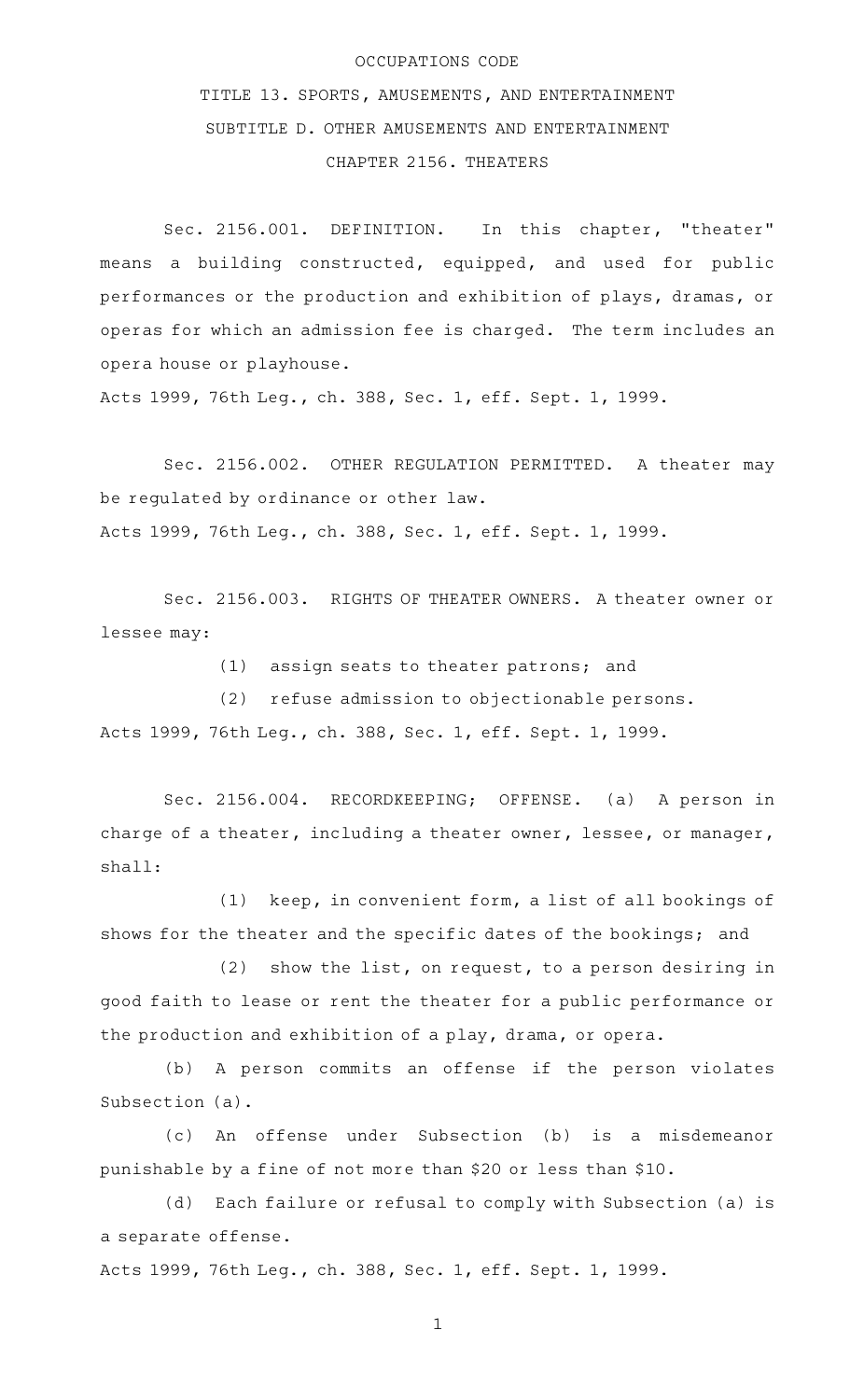## OCCUPATIONS CODE

TITLE 13. SPORTS, AMUSEMENTS, AND ENTERTAINMENT SUBTITLE D. OTHER AMUSEMENTS AND ENTERTAINMENT CHAPTER 2156. THEATERS

Sec. 2156.001. DEFINITION. In this chapter, "theater" means a building constructed, equipped, and used for public performances or the production and exhibition of plays, dramas, or operas for which an admission fee is charged. The term includes an opera house or playhouse.

Acts 1999, 76th Leg., ch. 388, Sec. 1, eff. Sept. 1, 1999.

Sec. 2156.002. OTHER REGULATION PERMITTED. A theater may be regulated by ordinance or other law. Acts 1999, 76th Leg., ch. 388, Sec. 1, eff. Sept. 1, 1999.

Sec. 2156.003. RIGHTS OF THEATER OWNERS. A theater owner or lessee may:

(1) assign seats to theater patrons; and

 $(2)$  refuse admission to objectionable persons. Acts 1999, 76th Leg., ch. 388, Sec. 1, eff. Sept. 1, 1999.

Sec. 2156.004. RECORDKEEPING; OFFENSE. (a) A person in charge of a theater, including a theater owner, lessee, or manager, shall:

 $(1)$  keep, in convenient form, a list of all bookings of shows for the theater and the specific dates of the bookings; and

 $(2)$  show the list, on request, to a person desiring in good faith to lease or rent the theater for a public performance or the production and exhibition of a play, drama, or opera.

(b) A person commits an offense if the person violates Subsection (a).

(c)AAAn offense under Subsection (b) is a misdemeanor punishable by a fine of not more than \$20 or less than \$10.

(d) Each failure or refusal to comply with Subsection (a) is a separate offense.

Acts 1999, 76th Leg., ch. 388, Sec. 1, eff. Sept. 1, 1999.

1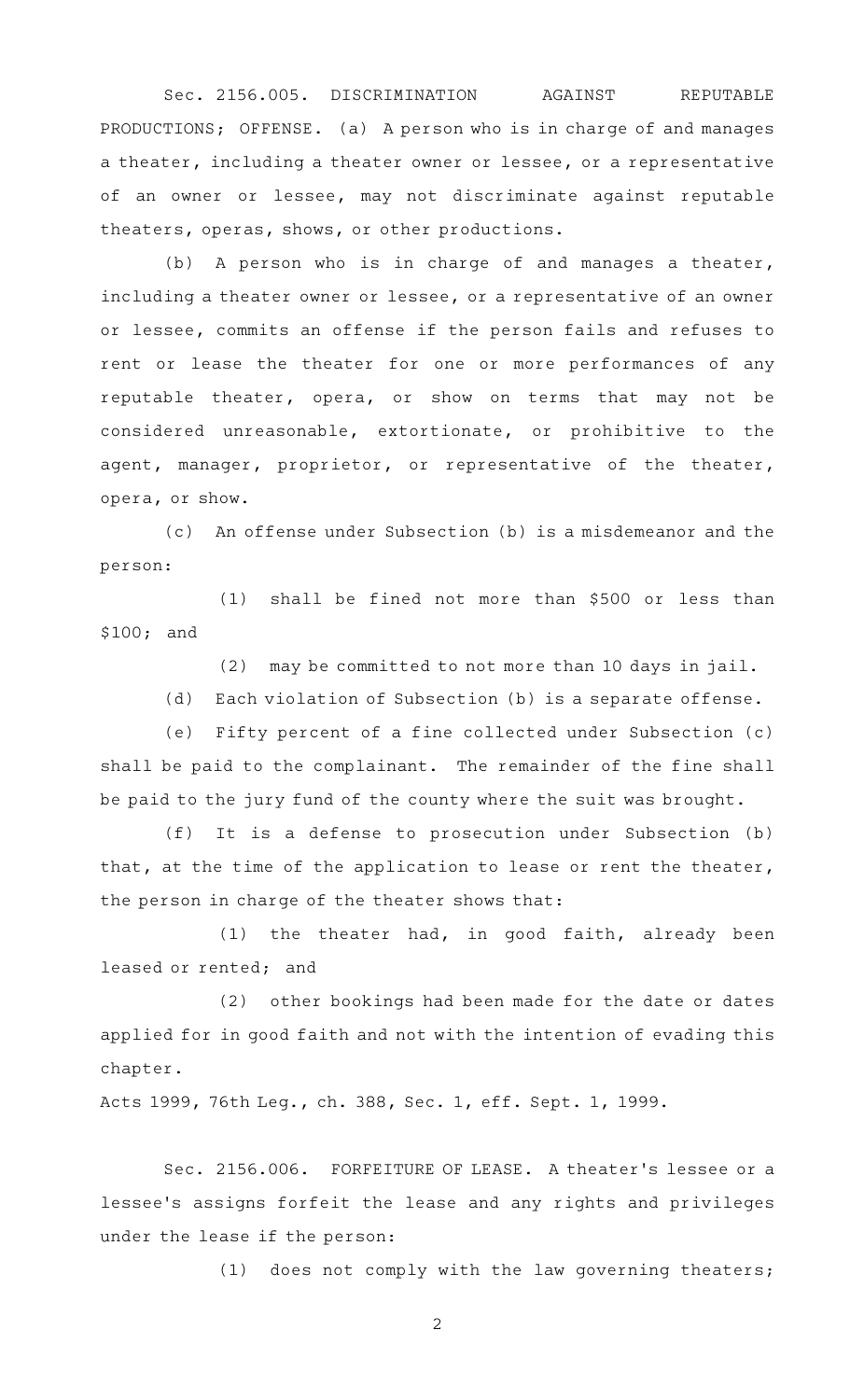Sec. 2156.005. DISCRIMINATION AGAINST REPUTABLE PRODUCTIONS; OFFENSE. (a) A person who is in charge of and manages a theater, including a theater owner or lessee, or a representative of an owner or lessee, may not discriminate against reputable theaters, operas, shows, or other productions.

(b) A person who is in charge of and manages a theater, including a theater owner or lessee, or a representative of an owner or lessee, commits an offense if the person fails and refuses to rent or lease the theater for one or more performances of any reputable theater, opera, or show on terms that may not be considered unreasonable, extortionate, or prohibitive to the agent, manager, proprietor, or representative of the theater, opera, or show.

(c) An offense under Subsection (b) is a misdemeanor and the person:

 $(1)$  shall be fined not more than \$500 or less than \$100; and

(2) may be committed to not more than 10 days in jail.

(d) Each violation of Subsection (b) is a separate offense.

(e) Fifty percent of a fine collected under Subsection (c) shall be paid to the complainant. The remainder of the fine shall be paid to the jury fund of the county where the suit was brought.

(f) It is a defense to prosecution under Subsection (b) that, at the time of the application to lease or rent the theater, the person in charge of the theater shows that:

 $(1)$  the theater had, in good faith, already been leased or rented; and

 $(2)$  other bookings had been made for the date or dates applied for in good faith and not with the intention of evading this chapter.

Acts 1999, 76th Leg., ch. 388, Sec. 1, eff. Sept. 1, 1999.

Sec. 2156.006. FORFEITURE OF LEASE. A theater's lessee or a lessee 's assigns forfeit the lease and any rights and privileges under the lease if the person:

(1) does not comply with the law governing theaters;

2